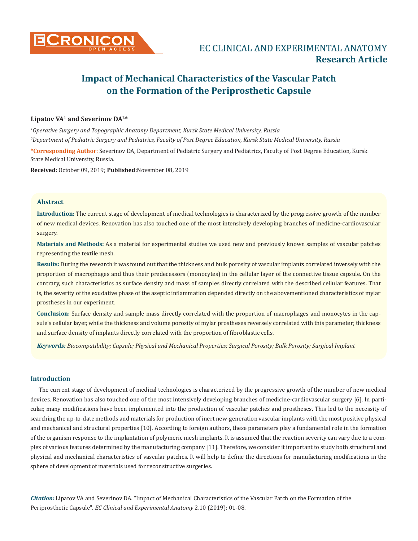

## **Lipatov VA1 and Severinov DA2\***

*1 Operative Surgery and Topographic Anatomy Department, Kursk State Medical University, Russia 2 Department of Pediatric Surgery and Pediatrics, Faculty of Post Degree Education, Kursk State Medical University, Russia*

**\*Corresponding Author**: Severinov DA, Department of Pediatric Surgery and Pediatrics, Faculty of Post Degree Education, Kursk State Medical University, Russia.

**Received:** October 09, 2019; **Published:**November 08, 2019

## **Abstract**

**Introduction:** The current stage of development of medical technologies is characterized by the progressive growth of the number of new medical devices. Renovation has also touched one of the most intensively developing branches of medicine-cardiovascular surgery.

**Materials and Methods:** As a material for experimental studies we used new and previously known samples of vascular patches representing the textile mesh.

**Results:** During the research it was found out that the thickness and bulk porosity of vascular implants correlated inversely with the proportion of macrophages and thus their predecessors (monocytes) in the cellular layer of the connective tissue capsule. On the contrary, such characteristics as surface density and mass of samples directly correlated with the described cellular features. That is, the severity of the exudative phase of the aseptic inflammation depended directly on the abovementioned characteristics of mylar prostheses in our experiment.

**Conclusion:** Surface density and sample mass directly correlated with the proportion of macrophages and monocytes in the capsule's cellular layer, while the thickness and volume porosity of mylar prostheses reversely correlated with this parameter; thickness and surface density of implants directly correlated with the proportion of fibroblastic cells.

*Keywords: Biocompatibility; Capsule; Physical and Mechanical Properties; Surgical Porosity; Bulk Porosity; Surgical Implant*

## **Introduction**

The current stage of development of medical technologies is characterized by the progressive growth of the number of new medical devices. Renovation has also touched one of the most intensively developing branches of medicine-cardiovascular surgery [6]. In particular, many modifications have been implemented into the production of vascular patches and prostheses. This led to the necessity of searching the up-to-date methods and materials for production of inert new-generation vascular implants with the most positive physical and mechanical and structural properties [10]. According to foreign authors, these parameters play a fundamental role in the formation of the organism response to the implantation of polymeric mesh implants. It is assumed that the reaction severity can vary due to a complex of various features determined by the manufacturing company [11]. Therefore, we consider it important to study both structural and physical and mechanical characteristics of vascular patches. It will help to define the directions for manufacturing modifications in the sphere of development of materials used for reconstructive surgeries.

*Citation:* Lipatov VA and Severinov DA*.* "Impact of Mechanical Characteristics of the Vascular Patch on the Formation of the Periprosthetic Capsule". *EC Clinical and Experimental Anatomy* 2.10 (2019): 01-08.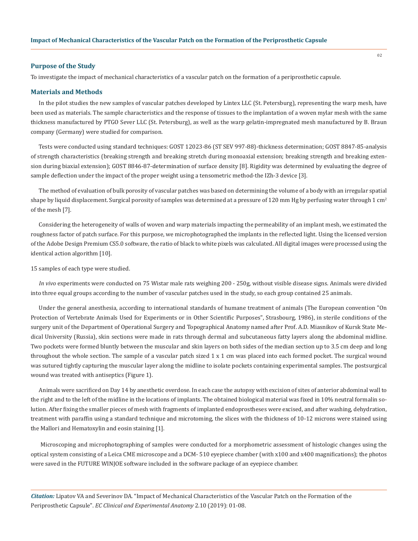#### **Purpose of the Study**

To investigate the impact of mechanical characteristics of a vascular patch on the formation of a periprosthetic capsule.

#### **Materials and Methods**

In the pilot studies the new samples of vascular patches developed by Lintex LLC (St. Petersburg), representing the warp mesh, have been used as materials. The sample characteristics and the response of tissues to the implantation of a woven mylar mesh with the same thickness manufactured by PTGO Sever LLC (St. Petersburg), as well as the warp gelatin-impregnated mesh manufactured by B. Braun company (Germany) were studied for comparison.

Tests were conducted using standard techniques: GOST 12023-86 (ST SEV 997-88)-thickness determination; GOST 8847-85-analysis of strength characteristics (breaking strength and breaking stretch during monoaxial extension; breaking strength and breaking extension during biaxial extension); GOST 8846-87-determination of surface density [8]. Rigidity was determined by evaluating the degree of sample deflection under the impact of the proper weight using a tensometric method-the IZh-3 device [3].

The method of evaluation of bulk porosity of vascular patches was based on determining the volume of a body with an irregular spatial shape by liquid displacement. Surgical porosity of samples was determined at a pressure of 120 mm Hg by perfusing water through 1 cm<sup>2</sup> of the mesh [7].

Considering the heterogeneity of walls of woven and warp materials impacting the permeability of an implant mesh, we estimated the roughness factor of patch surface. For this purpose, we microphotographed the implants in the reflected light. Using the licensed version of the Adobe Design Premium CS5.0 software, the ratio of black to white pixels was calculated. All digital images were processed using the identical action algorithm [10].

15 samples of each type were studied.

*In vivo* experiments were conducted on 75 Wistar male rats weighing 200 - 250g, without visible disease signs. Animals were divided into three equal groups according to the number of vascular patches used in the study, so each group contained 25 animals.

Under the general anesthesia, according to international standards of humane treatment of animals (The European convention "On Protection of Vertebrate Animals Used for Experiments or in Other Scientific Purposes", Strasbourg, 1986), in sterile conditions of the surgery unit of the Department of Operational Surgery and Topographical Anatomy named after Prof. A.D. Miasnikov of Kursk State Medical University (Russia), skin sections were made in rats through dermal and subcutaneous fatty layers along the abdominal midline. Two pockets were formed bluntly between the muscular and skin layers on both sides of the median section up to 3.5 cm deep and long throughout the whole section. The sample of a vascular patch sized 1 х 1 cm was placed into each formed pocket. The surgical wound was sutured tightly capturing the muscular layer along the midline to isolate pockets containing experimental samples. The postsurgical wound was treated with antiseptics (Figure 1).

Animals were sacrificed on Day 14 by anesthetic overdose. In each case the autopsy with excision of sites of anterior abdominal wall to the right and to the left of the midline in the locations of implants. The obtained biological material was fixed in 10% neutral formalin solution. After fixing the smaller pieces of mesh with fragments of implanted endoprostheses were excised, and after washing, dehydration, treatment with paraffin using a standard technique and microtoming, the slices with the thickness of 10-12 microns were stained using the Mallori and Hematoxylin and eosin staining [1].

Microscoping and microphotographing of samples were conducted for a morphometric assessment of histologic changes using the optical system consisting of a Leica CME microscope and a DCM- 510 eyepiece chamber (with x100 and x400 magnifications); the photos were saved in the FUTURE WINJOE software included in the software package of an eyepiece chamber.

*Citation:* Lipatov VA and Severinov DA*.* "Impact of Mechanical Characteristics of the Vascular Patch on the Formation of the Periprosthetic Capsule". *EC Clinical and Experimental Anatomy* 2.10 (2019): 01-08.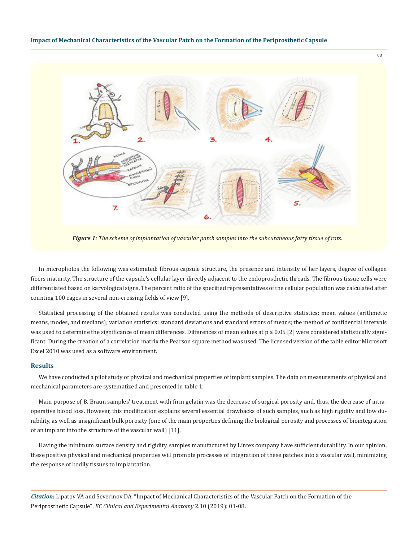

*Figure 1: The scheme of implantation of vascular patch samples into the subcutaneous fatty tissue of rats.*

In microphotos the following was estimated: fibrous capsule structure, the presence and intensity of her layers, degree of collagen fibers maturity. The structure of the capsule's cellular layer directly adjacent to the endoprosthetic threads. The fibrous tissue cells were differentiated based on karyological signs. The percent ratio of the specified representatives of the cellular population was calculated after counting 100 cages in several non-crossing fields of view [9].

Statistical processing of the obtained results was conducted using the methods of descriptive statistics: mean values (arithmetic means, modes, and medians); variation statistics: standard deviations and standard errors of means; the method of confidential intervals was used to determine the significance of mean differences. Differences of mean values at  $p \le 0.05$  [2] were considered statistically significant. During the creation of a correlation matrix the Pearson square method was used. The licensed version of the table editor Microsoft Excel 2010 was used as a software environment.

#### **Results**

We have conducted a pilot study of physical and mechanical properties of implant samples. The data on measurements of physical and mechanical parameters are systematized and presented in table 1.

Main purpose of B. Braun samples' treatment with firm gelatin was the decrease of surgical porosity and, thus, the decrease of intraoperative blood loss. However, this modification explains several essential drawbacks of such samples, such as high rigidity and low durability, as well as insignificant bulk porosity (one of the main properties defining the biological porosity and processes of biointegration of an implant into the structure of the vascular wall) [11].

Having the minimum surface density and rigidity, samples manufactured by Lintex company have sufficient durability. In our opinion, these positive physical and mechanical properties will promote processes of integration of these patches into a vascular wall, minimizing the response of bodily tissues to implantation.

*Citation:* Lipatov VA and Severinov DA*.* "Impact of Mechanical Characteristics of the Vascular Patch on the Formation of the Periprosthetic Capsule". *EC Clinical and Experimental Anatomy* 2.10 (2019): 01-08.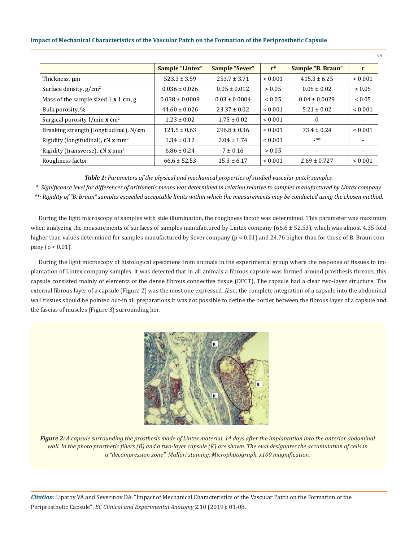|                                               | <b>Sample "Lintex"</b> | Sample "Sever"    | $r^*$        | Sample "B. Braun" | r                        |
|-----------------------------------------------|------------------------|-------------------|--------------|-------------------|--------------------------|
| Thickness, um                                 | $523.3 \pm 3.59$       | $253.7 \pm 3.71$  | ${}_{0.001}$ | $415.3 \pm 6.25$  | ${}< 0.001$              |
| Surface density, $g/cm^2$                     | $0.036 \pm 0.026$      | $0.05 \pm 0.012$  | > 0.05       | $0.05 \pm 0.02$   | ${}< 0.05$               |
| Mass of the sample sized $1 \times 1$ cm, g   | $0.038 \pm 0.0009$     | $0.03 \pm 0.0004$ | ${}_{0.05}$  | $0.04 \pm 0.0029$ | ${}< 0.05$               |
| Bulk porosity, %                              | $44.60 \pm 0.026$      | $23.37 \pm 0.02$  | < 0.001      | $5.21 \pm 0.02$   | ${}< 0.001$              |
| Surgical porosity, l/min x cm <sup>2</sup>    | $1.23 \pm 0.02$        | $1.75 \pm 0.02$   | ${}< 0.001$  | $\theta$          | $\overline{\phantom{a}}$ |
| Breaking strength (longitudinal), N/cm        | $121.5 \pm 0.63$       | $296.8 \pm 0.36$  | ${}_{0.001}$ | $73.4 \pm 0.24$   | ${}_{0.001}$             |
| Rigidity (longitudinal), cN x mm <sup>2</sup> | $1.34 \pm 0.12$        | $2.04 \pm 1.74$   | ${}_{0.001}$ | _**               |                          |
| Rigidity (transverse), $cN x$ mm <sup>2</sup> | $6.86 \pm 0.24$        | $7 \pm 0.16$      | > 0.05       | $\blacksquare$    | $\blacksquare$           |
| Roughness factor                              | $66.6 \pm 52.53$       | $15.3 \pm 6.17$   | ${}< 0.001$  | $2.69 \pm 0.727$  | ${}< 0.001$              |

#### *Table 1: Parameters of the physical and mechanical properties of studied vascular patch samples.*

*\*: Significance level for differences of arithmetic means was determined in relation relative to samples manufactured by Lintex company. \*\*: Rigidity of "B. Braun" samples exceeded acceptable limits within which the measurements may be conducted using the chosen method.*

During the light microscopy of samples with side illumination, the roughness factor was determined. This parameter was maximum when analyzing the measurements of surfaces of samples manufactured by Lintex company  $(66.6 \pm 52.53)$ , which was almost 4.35-fold higher than values determined for samples manufactured by Sever company (p < 0.01) and 24.76 higher than for those of B. Braun company (p < 0.01).

During the light microscopy of histological specimens from animals in the experimental group where the response of tissues to implantation of Lintex company samples, it was detected that in all animals a fibrous capsule was formed around prosthesis threads, this capsule consisted mainly of elements of the dense fibrous connective tissue (DFCT). The capsule had a clear two-layer structure. The external fibrous layer of a capsule (Figure 2) was the most one expressed. Also, the complete integration of a capsule into the abdominal wall tissues should be pointed out-in all preparations it was not possible to define the border between the fibrous layer of a capsule and the fascias of muscles (Figure 3) surrounding her.



*Figure 2: A capsule surrounding the prosthesis made of Lintex material. 14 days after the implantation into the anterior abdominal wall. In the photo prosthetic fibers (B) and a two-layer capsule (K) are shown. The oval designates the accumulation of cells in a "decompression zone". Mallori staining. Microphotograph, x100 magnification.*

*Citation:* Lipatov VA and Severinov DA*.* "Impact of Mechanical Characteristics of the Vascular Patch on the Formation of the Periprosthetic Capsule". *EC Clinical and Experimental Anatomy* 2.10 (2019): 01-08.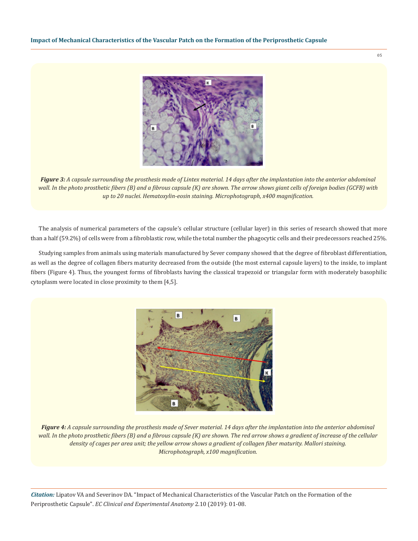

*Figure 3: A capsule surrounding the prosthesis made of Lintex material. 14 days after the implantation into the anterior abdominal wall. In the photo prosthetic fibers (B) and a fibrous capsule (K) are shown. The arrow shows giant cells of foreign bodies (GCFB) with up to 20 nuclei. Hematoxylin-eosin staining. Microphotograph, x400 magnification.*

The analysis of numerical parameters of the capsule's cellular structure (cellular layer) in this series of research showed that more than a half (59.2%) of cells were from a fibroblastic row, while the total number the phagocytic cells and their predecessors reached 25%.

Studying samples from animals using materials manufactured by Sever company showed that the degree of fibroblast differentiation, as well as the degree of collagen fibers maturity decreased from the outside (the most external capsule layers) to the inside, to implant fibers (Figure 4). Thus, the youngest forms of fibroblasts having the classical trapezoid or triangular form with moderately basophilic cytoplasm were located in close proximity to them [4,5].



*Figure 4: A capsule surrounding the prosthesis made of Sever material. 14 days after the implantation into the anterior abdominal wall. In the photo prosthetic fibers (B) and a fibrous capsule (K) are shown. The red arrow shows a gradient of increase of the cellular density of cages per area unit; the yellow arrow shows a gradient of collagen fiber maturity. Mallori staining. Microphotograph, x100 magnification.*

*Citation:* Lipatov VA and Severinov DA*.* "Impact of Mechanical Characteristics of the Vascular Patch on the Formation of the Periprosthetic Capsule". *EC Clinical and Experimental Anatomy* 2.10 (2019): 01-08.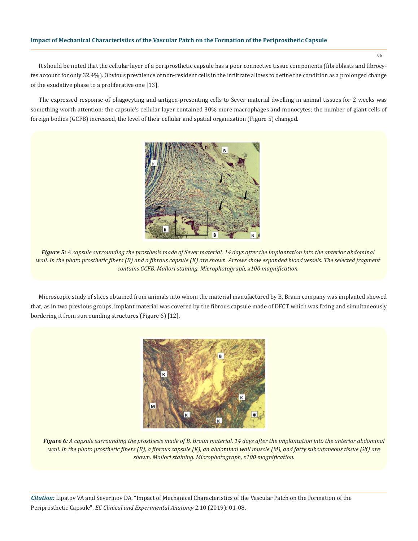It should be noted that the cellular layer of a periprosthetic capsule has a poor connective tissue components (fibroblasts and fibrocytes account for only 32.4%). Obvious prevalence of non-resident cells in the infiltrate allows to define the condition as a prolonged change of the exudative phase to a proliferative one [13].

The expressed response of phagocyting and antigen-presenting cells to Sever material dwelling in animal tissues for 2 weeks was something worth attention: the capsule's cellular layer contained 30% more macrophages and monocytes; the number of giant cells of foreign bodies (GCFB) increased, the level of their cellular and spatial organization (Figure 5) changed.



*Figure 5: A capsule surrounding the prosthesis made of Sever material. 14 days after the implantation into the anterior abdominal*  wall. In the photo prosthetic fibers (B) and a fibrous capsule (K) are shown. Arrows show expanded blood vessels. The selected fragment *contains GCFB. Mallori staining. Microphotograph, x100 magnification.*

Microscopic study of slices obtained from animals into whom the material manufactured by B. Braun company was implanted showed that, as in two previous groups, implant material was covered by the fibrous capsule made of DFCT which was fixing and simultaneously bordering it from surrounding structures (Figure 6) [12].



*Figure 6: A capsule surrounding the prosthesis made of B. Braun material. 14 days after the implantation into the anterior abdominal wall. In the photo prosthetic fibers (B), a fibrous capsule (K), an abdominal wall muscle (M), and fatty subcutaneous tissue (Ж) are shown. Mallori staining. Microphotograph, x100 magnification.*

*Citation:* Lipatov VA and Severinov DA*.* "Impact of Mechanical Characteristics of the Vascular Patch on the Formation of the Periprosthetic Capsule". *EC Clinical and Experimental Anatomy* 2.10 (2019): 01-08.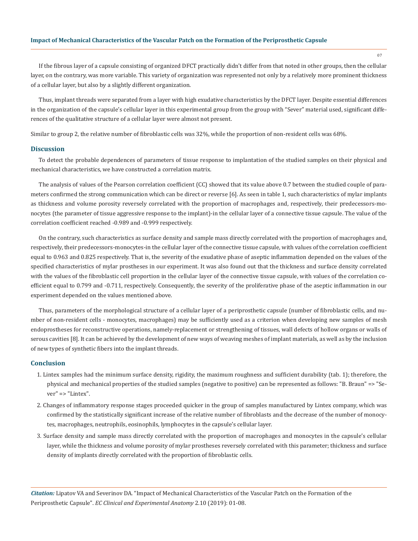If the fibrous layer of a capsule consisting of organized DFCT practically didn't differ from that noted in other groups, then the cellular layer, on the contrary, was more variable. This variety of organization was represented not only by a relatively more prominent thickness of a cellular layer, but also by a slightly different organization.

Thus, implant threads were separated from a layer with high exudative characteristics by the DFCT layer. Despite essential differences in the organization of the capsule's cellular layer in this experimental group from the group with "Sever" material used, significant differences of the qualitative structure of a cellular layer were almost not present.

Similar to group 2, the relative number of fibroblastic cells was 32%, while the proportion of non-resident cells was 68%.

#### **Discussion**

To detect the probable dependences of parameters of tissue response to implantation of the studied samples on their physical and mechanical characteristics, we have constructed a correlation matrix.

The analysis of values of the Pearson correlation coefficient (CC) showed that its value above 0.7 between the studied couple of parameters confirmed the strong communication which can be direct or reverse [6]. As seen in table 1, such characteristics of mylar implants as thickness and volume porosity reversely correlated with the proportion of macrophages and, respectively, their predecessors-monocytes (the parameter of tissue aggressive response to the implant)-in the cellular layer of a connective tissue capsule. The value of the correlation coefficient reached -0.989 and -0.999 respectively.

On the contrary, such characteristics as surface density and sample mass directly correlated with the proportion of macrophages and, respectively, their predecessors-monocytes-in the cellular layer of the connective tissue capsule, with values of the correlation coefficient equal to 0.963 and 0.825 respectively. That is, the severity of the exudative phase of aseptic inflammation depended on the values of the specified characteristics of mylar prostheses in our experiment. It was also found out that the thickness and surface density correlated with the values of the fibroblastic cell proportion in the cellular layer of the connective tissue capsule, with values of the correlation coefficient equal to 0.799 and -0.711, respectively. Consequently, the severity of the proliferative phase of the aseptic inflammation in our experiment depended on the values mentioned above.

Thus, parameters of the morphological structure of a cellular layer of a periprosthetic capsule (number of fibroblastic cells, and number of non-resident cells - monocytes, macrophages) may be sufficiently used as a criterion when developing new samples of mesh endoprostheses for reconstructive operations, namely-replacement or strengthening of tissues, wall defects of hollow organs or walls of serous cavities [8]. It can be achieved by the development of new ways of weaving meshes of implant materials, as well as by the inclusion of new types of synthetic fibers into the implant threads.

#### **Conclusion**

- 1. Lintex samples had the minimum surface density, rigidity, the maximum roughness and sufficient durability (tab. 1); therefore, the physical and mechanical properties of the studied samples (negative to positive) can be represented as follows: "B. Braun" => "Sever" => "Lintex".
- 2. Changes of inflammatory response stages proceeded quicker in the group of samples manufactured by Lintex company, which was confirmed by the statistically significant increase of the relative number of fibroblasts and the decrease of the number of monocytes, macrophages, neutrophils, eosinophils, lymphocytes in the capsule's cellular layer.
- 3. Surface density and sample mass directly correlated with the proportion of macrophages and monocytes in the capsule's cellular layer, while the thickness and volume porosity of mylar prostheses reversely correlated with this parameter; thickness and surface density of implants directly correlated with the proportion of fibroblastic cells.

*Citation:* Lipatov VA and Severinov DA*.* "Impact of Mechanical Characteristics of the Vascular Patch on the Formation of the Periprosthetic Capsule". *EC Clinical and Experimental Anatomy* 2.10 (2019): 01-08.